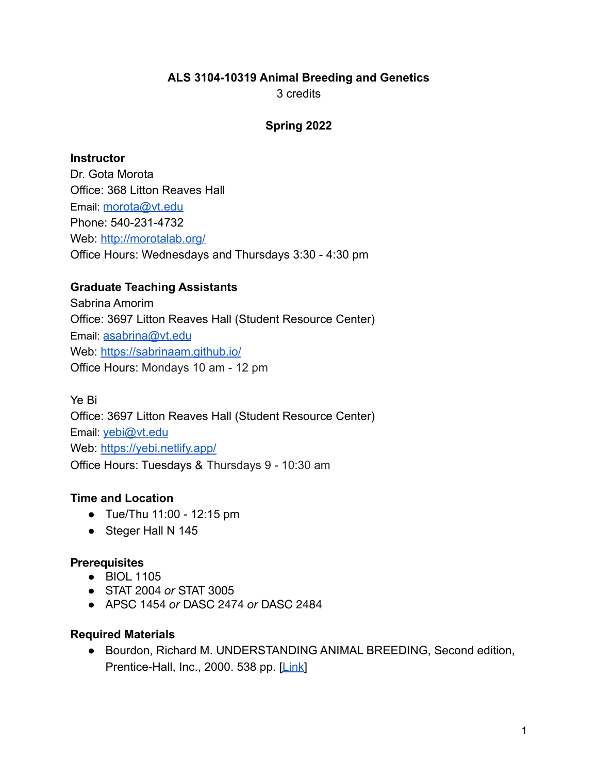# **ALS 3104-10319 Animal Breeding and Genetics**

3 credits

#### **Spring 2022**

#### **Instructor**

Dr. Gota Morota Office: 368 Litton Reaves Hall Email: [morota@vt.edu](mailto:morota@vt.edu) Phone: 540-231-4732 Web: <http://morotalab.org/> Office Hours: Wednesdays and Thursdays 3:30 - 4:30 pm

# **Graduate Teaching Assistants**

Sabrina Amorim Office: 3697 Litton Reaves Hall (Student Resource Center) Email: [asabrina@vt.edu](mailto:asabrina@vt.edu) Web: <https://sabrinaam.github.io/> Office Hours: Mondays 10 am - 12 pm

Ye Bi Office: 3697 Litton Reaves Hall (Student Resource Center) Email: [yebi@vt.edu](mailto:yebi@vt.edu) Web: <https://yebi.netlify.app/> Office Hours: Tuesdays & Thursdays 9 - 10:30 am

# **Time and Location**

- Tue/Thu 11:00 12:15 pm
- Steger Hall N 145

## **Prerequisites**

- BIOL 1105
- STAT 2004 *or* STAT 3005
- APSC 1454 *or* DASC 2474 *or* DASC 2484

## **Required Materials**

● Bourdon, Richard M. UNDERSTANDING ANIMAL BREEDING, Second edition, Prentice-Hall, Inc., 2000. 538 pp. [\[Link](https://www.pearson.com/us/higher-education/program/Bourdon-Understanding-Animal-Breeding-2nd-Edition/PGM204135.html)]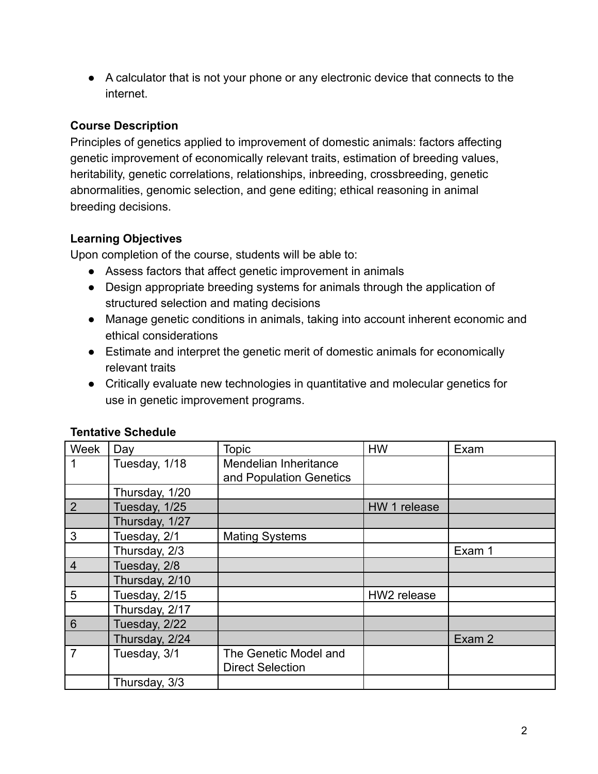● A calculator that is not your phone or any electronic device that connects to the internet.

# **Course Description**

Principles of genetics applied to improvement of domestic animals: factors affecting genetic improvement of economically relevant traits, estimation of breeding values, heritability, genetic correlations, relationships, inbreeding, crossbreeding, genetic abnormalities, genomic selection, and gene editing; ethical reasoning in animal breeding decisions.

# **Learning Objectives**

Upon completion of the course, students will be able to:

- Assess factors that affect genetic improvement in animals
- Design appropriate breeding systems for animals through the application of structured selection and mating decisions
- Manage genetic conditions in animals, taking into account inherent economic and ethical considerations
- Estimate and interpret the genetic merit of domestic animals for economically relevant traits
- Critically evaluate new technologies in quantitative and molecular genetics for use in genetic improvement programs.

| Week            | Day            | Topic                                            | <b>HW</b>    | Exam   |
|-----------------|----------------|--------------------------------------------------|--------------|--------|
| 1               | Tuesday, 1/18  | Mendelian Inheritance<br>and Population Genetics |              |        |
|                 | Thursday, 1/20 |                                                  |              |        |
| 2               | Tuesday, 1/25  |                                                  | HW 1 release |        |
|                 | Thursday, 1/27 |                                                  |              |        |
| 3               | Tuesday, 2/1   | <b>Mating Systems</b>                            |              |        |
|                 | Thursday, 2/3  |                                                  |              | Exam 1 |
| $\overline{4}$  | Tuesday, 2/8   |                                                  |              |        |
|                 | Thursday, 2/10 |                                                  |              |        |
| 5               | Tuesday, 2/15  |                                                  | HW2 release  |        |
|                 | Thursday, 2/17 |                                                  |              |        |
| $6\phantom{1}6$ | Tuesday, 2/22  |                                                  |              |        |
|                 | Thursday, 2/24 |                                                  |              | Exam 2 |
| $\overline{7}$  | Tuesday, 3/1   | The Genetic Model and<br><b>Direct Selection</b> |              |        |
|                 | Thursday, 3/3  |                                                  |              |        |

## **Tentative Schedule**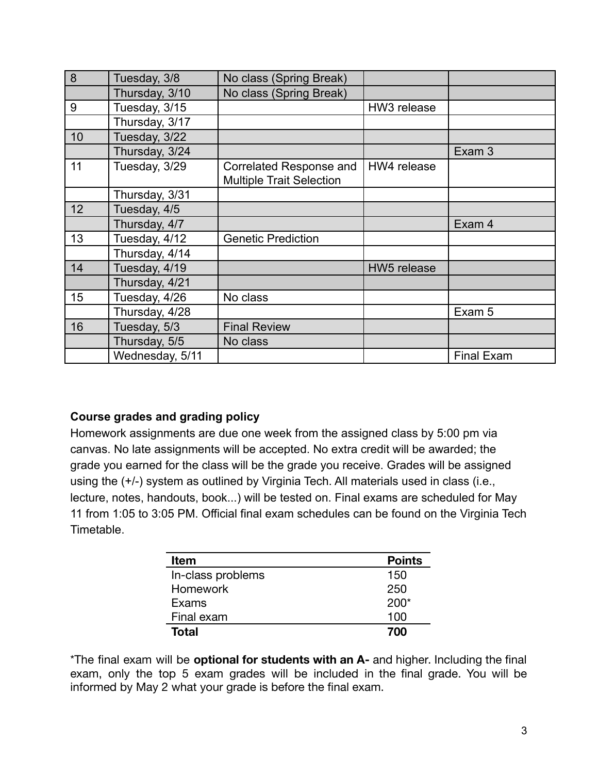| 8               | Tuesday, 3/8    | No class (Spring Break)                                    |             |                   |
|-----------------|-----------------|------------------------------------------------------------|-------------|-------------------|
|                 | Thursday, 3/10  | No class (Spring Break)                                    |             |                   |
| 9               | Tuesday, 3/15   |                                                            | HW3 release |                   |
|                 | Thursday, 3/17  |                                                            |             |                   |
| 10              | Tuesday, 3/22   |                                                            |             |                   |
|                 | Thursday, 3/24  |                                                            |             | Exam 3            |
| 11              | Tuesday, 3/29   | Correlated Response and<br><b>Multiple Trait Selection</b> | HW4 release |                   |
|                 | Thursday, 3/31  |                                                            |             |                   |
| 12 <sup>2</sup> | Tuesday, 4/5    |                                                            |             |                   |
|                 | Thursday, 4/7   |                                                            |             | Exam 4            |
| 13              | Tuesday, 4/12   | <b>Genetic Prediction</b>                                  |             |                   |
|                 | Thursday, 4/14  |                                                            |             |                   |
| 14              | Tuesday, 4/19   |                                                            | HW5 release |                   |
|                 | Thursday, 4/21  |                                                            |             |                   |
| 15              | Tuesday, 4/26   | No class                                                   |             |                   |
|                 | Thursday, 4/28  |                                                            |             | Exam 5            |
| 16              | Tuesday, 5/3    | <b>Final Review</b>                                        |             |                   |
|                 | Thursday, 5/5   | No class                                                   |             |                   |
|                 | Wednesday, 5/11 |                                                            |             | <b>Final Exam</b> |

#### **Course grades and grading policy**

Homework assignments are due one week from the assigned class by 5:00 pm via canvas. No late assignments will be accepted. No extra credit will be awarded; the grade you earned for the class will be the grade you receive. Grades will be assigned using the (+/-) system as outlined by Virginia Tech. All materials used in class (i.e., lecture, notes, handouts, book...) will be tested on. Final exams are scheduled for May 11 from 1:05 to 3:05 PM. Official final exam schedules can be found on the Virginia Tech **Timetable** 

| <b>Item</b>       | <b>Points</b> |
|-------------------|---------------|
| In-class problems | 150           |
| <b>Homework</b>   | 250           |
| Exams             | $200*$        |
| Final exam        | 100           |
| Total             | 700           |

\*The final exam will be **optional for students with an A-** and higher. Including the final exam, only the top 5 exam grades will be included in the final grade. You will be informed by May 2 what your grade is before the final exam.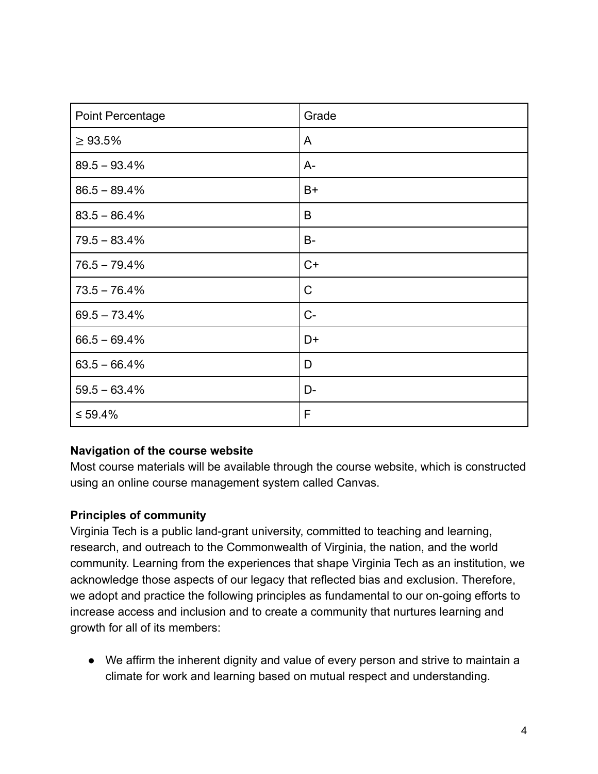| Point Percentage | Grade        |
|------------------|--------------|
| $\geq 93.5\%$    | A            |
| $89.5 - 93.4%$   | $A-$         |
| $86.5 - 89.4%$   | $B+$         |
| $83.5 - 86.4%$   | B            |
| $79.5 - 83.4%$   | $B -$        |
| $76.5 - 79.4%$   | $C+$         |
| $73.5 - 76.4%$   | $\mathsf{C}$ |
| $69.5 - 73.4\%$  | $C-$         |
| $66.5 - 69.4%$   | D+           |
| $63.5 - 66.4%$   | D            |
| $59.5 - 63.4%$   | D-           |
| $\leq 59.4\%$    | F            |

#### **Navigation of the course website**

Most course materials will be available through the course website, which is constructed using an online course management system called Canvas.

#### **Principles of community**

Virginia Tech is a public land-grant university, committed to teaching and learning, research, and outreach to the Commonwealth of Virginia, the nation, and the world community. Learning from the experiences that shape Virginia Tech as an institution, we acknowledge those aspects of our legacy that reflected bias and exclusion. Therefore, we adopt and practice the following principles as fundamental to our on-going efforts to increase access and inclusion and to create a community that nurtures learning and growth for all of its members:

● We affirm the inherent dignity and value of every person and strive to maintain a climate for work and learning based on mutual respect and understanding.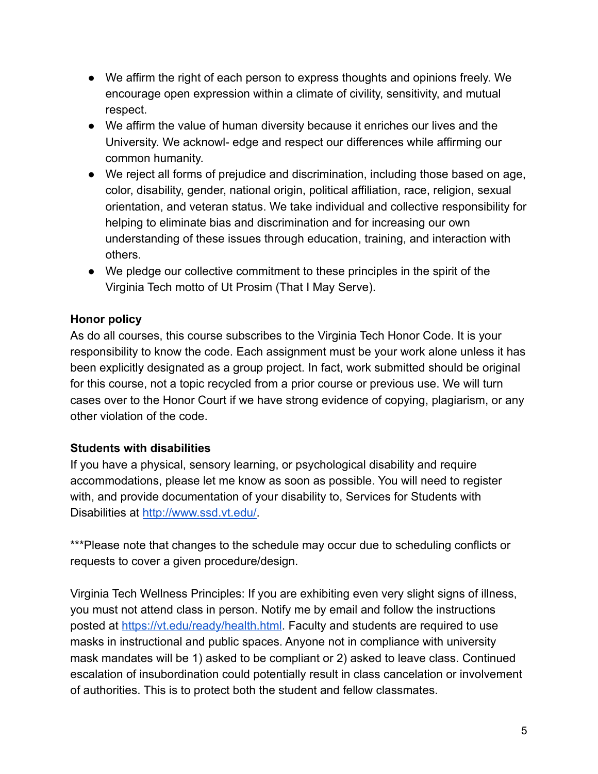- We affirm the right of each person to express thoughts and opinions freely. We encourage open expression within a climate of civility, sensitivity, and mutual respect.
- We affirm the value of human diversity because it enriches our lives and the University. We acknowl- edge and respect our differences while affirming our common humanity.
- We reject all forms of prejudice and discrimination, including those based on age, color, disability, gender, national origin, political affiliation, race, religion, sexual orientation, and veteran status. We take individual and collective responsibility for helping to eliminate bias and discrimination and for increasing our own understanding of these issues through education, training, and interaction with others.
- We pledge our collective commitment to these principles in the spirit of the Virginia Tech motto of Ut Prosim (That I May Serve).

# **Honor policy**

As do all courses, this course subscribes to the Virginia Tech Honor Code. It is your responsibility to know the code. Each assignment must be your work alone unless it has been explicitly designated as a group project. In fact, work submitted should be original for this course, not a topic recycled from a prior course or previous use. We will turn cases over to the Honor Court if we have strong evidence of copying, plagiarism, or any other violation of the code.

## **Students with disabilities**

If you have a physical, sensory learning, or psychological disability and require accommodations, please let me know as soon as possible. You will need to register with, and provide documentation of your disability to, Services for Students with Disabilities at [http://www.ssd.vt.edu/.](http://www.ssd.vt.edu/)

\*\*\*Please note that changes to the schedule may occur due to scheduling conflicts or requests to cover a given procedure/design.

Virginia Tech Wellness Principles: If you are exhibiting even very slight signs of illness, you must not attend class in person. Notify me by email and follow the instructions posted at [https://vt.edu/ready/health.html.](https://vt.edu/ready/health.html) Faculty and students are required to use masks in instructional and public spaces. Anyone not in compliance with university mask mandates will be 1) asked to be compliant or 2) asked to leave class. Continued escalation of insubordination could potentially result in class cancelation or involvement of authorities. This is to protect both the student and fellow classmates.